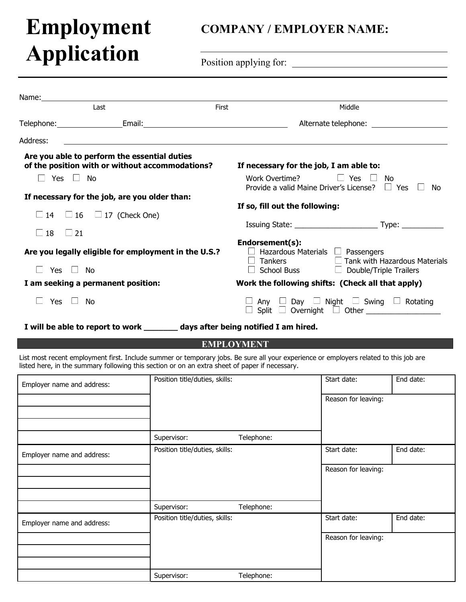# **Employment Application**

## **COMPANY / EMPLOYER NAME:**

Name: 1988 Last **Example 2018** First Middle **First Middle** Telephone: Email: Alternate telephone: Address: Position applying for: **Are you able to perform the essential duties of the position with or without accommodations? If necessary for the job, I am able to:**  $\square$  Yes  $\square$  No  $\square$  No  $\square$  Yes  $\square$  No  $\square$  Yes  $\square$  No  $\square$  Yes  $\square$  No  $\square$ Provide a valid Maine Driver's License?  $\Box$  Yes  $\Box$  No **If necessary for the job, are you older than: If so, fill out the following:**  $\Box$  14  $\Box$  16  $\Box$  17 (Check One) Issuing State: \_\_\_\_\_\_\_\_\_\_\_\_\_\_\_\_\_\_\_\_ Type: \_\_\_\_\_\_\_\_\_\_  $\Box$  18  $\Box$  21 **Endorsement(s):**<br>□ Hazardous Materials □ Passengers **Are you legally eligible for employment in the U.S.?** □ Hazardous Materials Particle Passengers<br>
□ Tankers  $\Box$  Tankers  $\Box$  Tank with Hazardous Materials  $\Box$  School Buss  $\Box$  Double/Triple Trailers  $\Box$  Yes  $\Box$  No  $\Box$  School Buss  $\Box$  Double/Triple Trailers **I am seeking a permanent position: Work the following shifts: (Check all that apply)**  $\Box$  Yes  $\Box$  No  $\Box$   $\Box$  Any  $\Box$  Day  $\Box$  Night  $\Box$  Swing  $\Box$  Rotating  $\Box$  Split  $\Box$  Overnight  $\Box$  Other

**I will be able to report to work \_\_\_\_\_\_\_ days after being notified I am hired.**

#### **EMPLOYMENT**

List most recent employment first. Include summer or temporary jobs. Be sure all your experience or employers related to this job are listed here, in the summary following this section or on an extra sheet of paper if necessary.

| Employer name and address: | Position title/duties, skills: |            | Start date:         | End date: |
|----------------------------|--------------------------------|------------|---------------------|-----------|
|                            |                                |            | Reason for leaving: |           |
|                            | Supervisor:                    | Telephone: |                     |           |
| Employer name and address: | Position title/duties, skills: |            | Start date:         | End date: |
|                            |                                |            | Reason for leaving: |           |
|                            | Supervisor:                    | Telephone: |                     |           |
| Employer name and address: | Position title/duties, skills: |            | Start date:         | End date: |
|                            |                                |            | Reason for leaving: |           |
|                            | Supervisor:                    | Telephone: |                     |           |